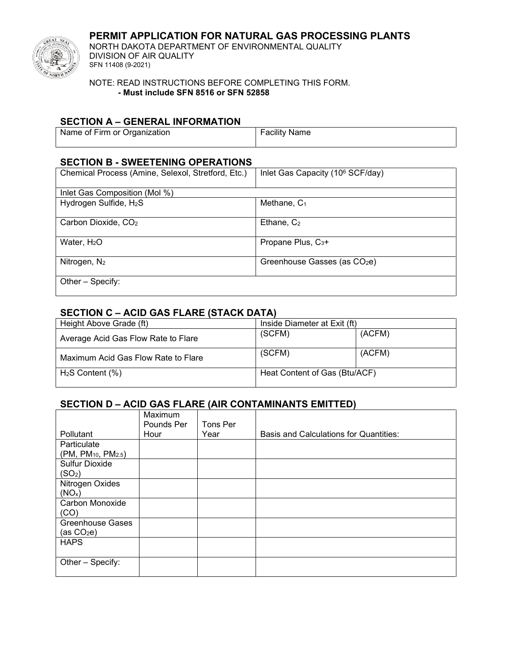## **PERMIT APPLICATION FOR NATURAL GAS PROCESSING PLANTS**



NORTH DAKOTA DEPARTMENT OF ENVIRONMENTAL QUALITY DIVISION OF AIR QUALITY SFN 11408 (9-2021)

NOTE: READ INSTRUCTIONS BEFORE COMPLETING THIS FORM. **- Must include SFN 8516 or SFN 52858**

#### **SECTION A – GENERAL INFORMATION**

| Name of Firm or Organization | <b>Facility Name</b> |
|------------------------------|----------------------|
|                              |                      |

## **SECTION B - SWEETENING OPERATIONS**

| Chemical Process (Amine, Selexol, Stretford, Etc.) | Inlet Gas Capacity (10 <sup>6</sup> SCF/day) |
|----------------------------------------------------|----------------------------------------------|
| Inlet Gas Composition (Mol %)                      |                                              |
| Hydrogen Sulfide, H <sub>2</sub> S                 | Methane, $C_1$                               |
| Carbon Dioxide, CO <sub>2</sub>                    | Ethane, $C_2$                                |
| Water, $H2O$                                       | Propane Plus, C <sub>3</sub> +               |
| Nitrogen, $N_2$                                    | Greenhouse Gasses (as CO <sub>2</sub> e)     |
| Other – Specify:                                   |                                              |

### **SECTION C – ACID GAS FLARE (STACK DATA)**

| Height Above Grade (ft)             | Inside Diameter at Exit (ft)  |        |
|-------------------------------------|-------------------------------|--------|
| Average Acid Gas Flow Rate to Flare | (SCFM)                        | (ACFM) |
| Maximum Acid Gas Flow Rate to Flare | (SCFM)                        | (ACFM) |
| $H2S$ Content $(\% )$               | Heat Content of Gas (Btu/ACF) |        |

## **SECTION D – ACID GAS FLARE (AIR CONTAMINANTS EMITTED)**

|                                             | <b>Maximum</b> |          |                                               |
|---------------------------------------------|----------------|----------|-----------------------------------------------|
|                                             | Pounds Per     | Tons Per |                                               |
| Pollutant                                   | Hour           | Year     | <b>Basis and Calculations for Quantities:</b> |
| Particulate                                 |                |          |                                               |
| (PM, PM <sub>10</sub> , PM <sub>2.5</sub> ) |                |          |                                               |
| <b>Sulfur Dioxide</b>                       |                |          |                                               |
| (SO <sub>2</sub> )                          |                |          |                                               |
| Nitrogen Oxides                             |                |          |                                               |
| (NO <sub>x</sub> )                          |                |          |                                               |
| Carbon Monoxide                             |                |          |                                               |
| (CO)                                        |                |          |                                               |
| <b>Greenhouse Gases</b>                     |                |          |                                               |
| (as CO2e)                                   |                |          |                                               |
| <b>HAPS</b>                                 |                |          |                                               |
|                                             |                |          |                                               |
| Other - Specify:                            |                |          |                                               |
|                                             |                |          |                                               |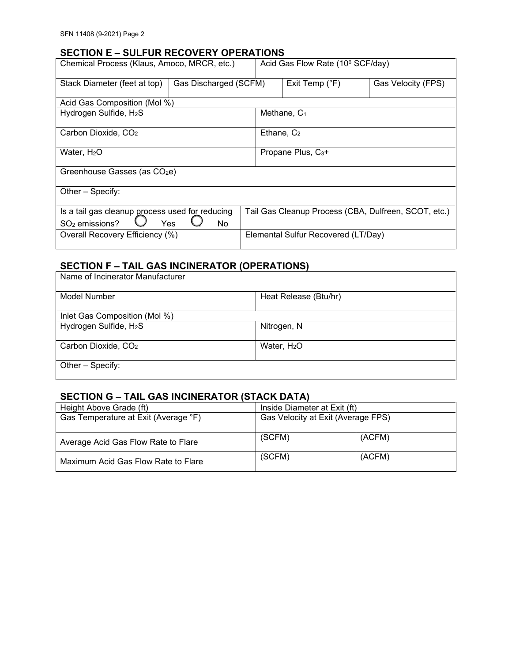#### **SECTION E – SULFUR RECOVERY OPERATIONS**

| Chemical Process (Klaus, Amoco, MRCR, etc.)                                                 |                       |  | Acid Gas Flow Rate (10 <sup>6</sup> SCF/day)         |                    |  |
|---------------------------------------------------------------------------------------------|-----------------------|--|------------------------------------------------------|--------------------|--|
| Stack Diameter (feet at top)                                                                | Gas Discharged (SCFM) |  | Exit Temp (°F)                                       | Gas Velocity (FPS) |  |
| Acid Gas Composition (Mol %)                                                                |                       |  |                                                      |                    |  |
| Hydrogen Sulfide, H <sub>2</sub> S                                                          |                       |  | Methane, C <sub>1</sub>                              |                    |  |
| Carbon Dioxide, CO <sub>2</sub>                                                             |                       |  | Ethane, $C_2$                                        |                    |  |
| Water, H <sub>2</sub> O                                                                     |                       |  | Propane Plus, C <sub>3</sub> +                       |                    |  |
| Greenhouse Gasses (as CO <sub>2</sub> e)                                                    |                       |  |                                                      |                    |  |
| Other - Specify:                                                                            |                       |  |                                                      |                    |  |
| Is a tail gas cleanup process used for reducing<br>SO <sub>2</sub> emissions?<br>Yes<br>No. |                       |  | Tail Gas Cleanup Process (CBA, Dulfreen, SCOT, etc.) |                    |  |
| Overall Recovery Efficiency (%)                                                             |                       |  | Elemental Sulfur Recovered (LT/Day)                  |                    |  |

## **SECTION F – TAIL GAS INCINERATOR (OPERATIONS)**

| Name of Incinerator Manufacturer   |                       |  |  |
|------------------------------------|-----------------------|--|--|
| Model Number                       | Heat Release (Btu/hr) |  |  |
| Inlet Gas Composition (Mol %)      |                       |  |  |
| Hydrogen Sulfide, H <sub>2</sub> S | Nitrogen, N           |  |  |
| Carbon Dioxide, CO <sub>2</sub>    | Water, $H2O$          |  |  |
| Other - Specify:                   |                       |  |  |

# **SECTION G – TAIL GAS INCINERATOR (STACK DATA)**

| Height Above Grade (ft)              | Inside Diameter at Exit (ft)       |        |
|--------------------------------------|------------------------------------|--------|
| Gas Temperature at Exit (Average °F) | Gas Velocity at Exit (Average FPS) |        |
| Average Acid Gas Flow Rate to Flare  | (SCFM)                             | (ACFM) |
| Maximum Acid Gas Flow Rate to Flare  | (SCFM)                             | (ACFM) |